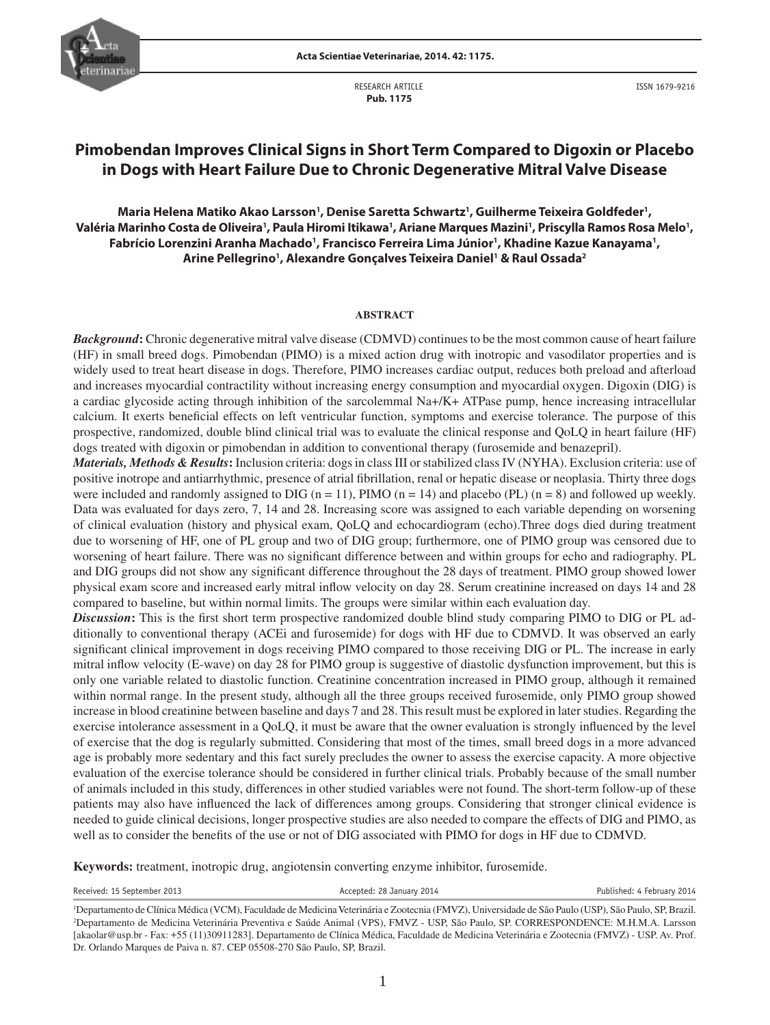

RESEARCH ARTICLE  **Pub. 1175**

# **Pimobendan Improves Clinical Signs in Short Term Compared to Digoxin or Placebo in Dogs with Heart Failure Due to Chronic Degenerative Mitral Valve Disease**

Maria Helena Matiko Akao Larsson', Denise Saretta Schwartz', Guilherme Teixeira Goldfeder', Valéria Marinho Costa de Oliveira', Paula Hiromi Itikawa', Ariane Marques Mazini', Priscylla Ramos Rosa Melo', **Fabrício Lorenzini Aranha Machado1 , Francisco Ferreira Lima Júnior1 , Khadine Kazue Kanayama1 , Arine Pellegrino1 , Alexandre Gonçalves Teixeira Daniel1 & Raul Ossada2**

#### **ABSTRACT**

*Background***:** Chronic degenerative mitral valve disease (CDMVD) continues to be the most common cause of heart failure (HF) in small breed dogs. Pimobendan (PIMO) is a mixed action drug with inotropic and vasodilator properties and is widely used to treat heart disease in dogs. Therefore, PIMO increases cardiac output, reduces both preload and afterload and increases myocardial contractility without increasing energy consumption and myocardial oxygen. Digoxin (DIG) is a cardiac glycoside acting through inhibition of the sarcolemmal Na+/K+ ATPase pump, hence increasing intracellular calcium. It exerts beneficial effects on left ventricular function, symptoms and exercise tolerance. The purpose of this prospective, randomized, double blind clinical trial was to evaluate the clinical response and QoLQ in heart failure (HF) dogs treated with digoxin or pimobendan in addition to conventional therapy (furosemide and benazepril).

*Materials, Methods & Results***:** Inclusion criteria: dogs in class III or stabilized class IV (NYHA). Exclusion criteria: use of positive inotrope and antiarrhythmic, presence of atrial fibrillation, renal or hepatic disease or neoplasia. Thirty three dogs were included and randomly assigned to DIG ( $n = 11$ ), PIMO ( $n = 14$ ) and placebo (PL) ( $n = 8$ ) and followed up weekly. Data was evaluated for days zero, 7, 14 and 28. Increasing score was assigned to each variable depending on worsening of clinical evaluation (history and physical exam, QoLQ and echocardiogram (echo).Three dogs died during treatment due to worsening of HF, one of PL group and two of DIG group; furthermore, one of PIMO group was censored due to worsening of heart failure. There was no significant difference between and within groups for echo and radiography. PL and DIG groups did not show any significant difference throughout the 28 days of treatment. PIMO group showed lower physical exam score and increased early mitral inflow velocity on day 28. Serum creatinine increased on days 14 and 28 compared to baseline, but within normal limits. The groups were similar within each evaluation day.

**Discussion:** This is the first short term prospective randomized double blind study comparing PIMO to DIG or PL additionally to conventional therapy (ACEi and furosemide) for dogs with HF due to CDMVD. It was observed an early significant clinical improvement in dogs receiving PIMO compared to those receiving DIG or PL. The increase in early mitral inflow velocity (E-wave) on day 28 for PIMO group is suggestive of diastolic dysfunction improvement, but this is only one variable related to diastolic function. Creatinine concentration increased in PIMO group, although it remained within normal range. In the present study, although all the three groups received furosemide, only PIMO group showed increase in blood creatinine between baseline and days 7 and 28. This result must be explored in later studies. Regarding the exercise intolerance assessment in a QoLQ, it must be aware that the owner evaluation is strongly influenced by the level of exercise that the dog is regularly submitted. Considering that most of the times, small breed dogs in a more advanced age is probably more sedentary and this fact surely precludes the owner to assess the exercise capacity. A more objective evaluation of the exercise tolerance should be considered in further clinical trials. Probably because of the small number of animals included in this study, differences in other studied variables were not found. The short-term follow-up of these patients may also have influenced the lack of differences among groups. Considering that stronger clinical evidence is needed to guide clinical decisions, longer prospective studies are also needed to compare the effects of DIG and PIMO, as well as to consider the benefits of the use or not of DIG associated with PIMO for dogs in HF due to CDMVD.

**Keywords:** treatment, inotropic drug, angiotensin converting enzyme inhibitor, furosemide.

Received: 15 September 2013 **Accepted: 28 January 2014** Published: 4 February 2014

<sup>&</sup>lt;sup>1</sup>Departamento de Clínica Médica (VCM), Faculdade de Medicina Veterinária e Zootecnia (FMVZ), Universidade de São Paulo (USP), São Paulo, SP, Brazil.<br><sup>2</sup>Departamento de Medicina Veterinária Preventiva e Saúde Animal (VPS) <sup>2</sup>Departamento de Medicina Veterinária Preventiva e Saúde Animal (VPS), FMVZ - USP, São Paulo, SP. CORRESPONDENCE: M.H.M.A. Larsson [akaolar@usp.br - Fax: +55 (11)30911283]. Departamento de Clínica Médica, Faculdade de Medicina Veterinária e Zootecnia (FMVZ) - USP. Av. Prof. Dr. Orlando Marques de Paiva n. 87. CEP 05508-270 São Paulo, SP, Brazil.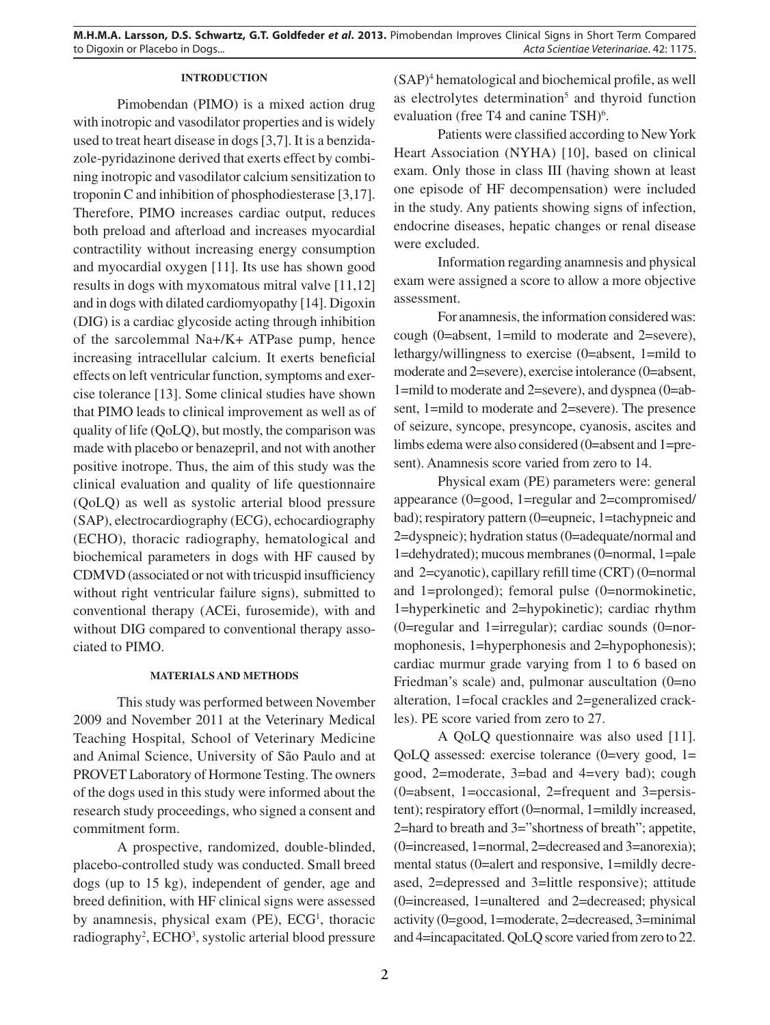# **INTRODUCTION**

Pimobendan (PIMO) is a mixed action drug with inotropic and vasodilator properties and is widely used to treat heart disease in dogs [3,7]. It is a benzidazole-pyridazinone derived that exerts effect by combining inotropic and vasodilator calcium sensitization to troponin C and inhibition of phosphodiesterase [3,17]. Therefore, PIMO increases cardiac output, reduces both preload and afterload and increases myocardial contractility without increasing energy consumption and myocardial oxygen [11]. Its use has shown good results in dogs with myxomatous mitral valve [11,12] and in dogs with dilated cardiomyopathy [14]. Digoxin (DIG) is a cardiac glycoside acting through inhibition of the sarcolemmal Na+/K+ ATPase pump, hence increasing intracellular calcium. It exerts beneficial effects on left ventricular function, symptoms and exercise tolerance [13]. Some clinical studies have shown that PIMO leads to clinical improvement as well as of quality of life (QoLQ), but mostly, the comparison was made with placebo or benazepril, and not with another positive inotrope. Thus, the aim of this study was the clinical evaluation and quality of life questionnaire (QoLQ) as well as systolic arterial blood pressure (SAP), electrocardiography (ECG), echocardiography (ECHO), thoracic radiography, hematological and biochemical parameters in dogs with HF caused by CDMVD (associated or not with tricuspid insufficiency without right ventricular failure signs), submitted to conventional therapy (ACEi, furosemide), with and without DIG compared to conventional therapy associated to PIMO.

## **MATERIALS AND METHODS**

This study was performed between November 2009 and November 2011 at the Veterinary Medical Teaching Hospital, School of Veterinary Medicine and Animal Science, University of São Paulo and at PROVET Laboratory of Hormone Testing. The owners of the dogs used in this study were informed about the research study proceedings, who signed a consent and commitment form.

A prospective, randomized, double-blinded, placebo-controlled study was conducted. Small breed dogs (up to 15 kg), independent of gender, age and breed definition, with HF clinical signs were assessed by anamnesis, physical exam (PE), ECG<sup>1</sup>, thoracic radiography<sup>2</sup>, ECHO<sup>3</sup>, systolic arterial blood pressure (SAP)<sup>4</sup> hematological and biochemical profile, as well as electrolytes determination<sup>5</sup> and thyroid function evaluation (free T4 and canine TSH)<sup>6</sup>.

Patients were classified according to New York Heart Association (NYHA) [10], based on clinical exam. Only those in class III (having shown at least one episode of HF decompensation) were included in the study. Any patients showing signs of infection, endocrine diseases, hepatic changes or renal disease were excluded.

Information regarding anamnesis and physical exam were assigned a score to allow a more objective assessment.

For anamnesis, the information considered was: cough (0=absent, 1=mild to moderate and 2=severe), lethargy/willingness to exercise (0=absent, 1=mild to moderate and 2=severe), exercise intolerance (0=absent, 1=mild to moderate and 2=severe), and dyspnea (0=absent, 1=mild to moderate and 2=severe). The presence of seizure, syncope, presyncope, cyanosis, ascites and limbs edema were also considered (0=absent and 1=present). Anamnesis score varied from zero to 14.

Physical exam (PE) parameters were: general appearance (0=good, 1=regular and 2=compromised/ bad); respiratory pattern (0=eupneic, 1=tachypneic and 2=dyspneic); hydration status (0=adequate/normal and 1=dehydrated); mucous membranes (0=normal, 1=pale and  $2=$ cyanotic), capillary refill time (CRT) (0=normal and 1=prolonged); femoral pulse (0=normokinetic, 1=hyperkinetic and 2=hypokinetic); cardiac rhythm  $(0=regular and 1=irregular)$ ; cardiac sounds  $(0=nor-1)$ mophonesis, 1=hyperphonesis and 2=hypophonesis); cardiac murmur grade varying from 1 to 6 based on Friedman's scale) and, pulmonar auscultation (0=no alteration, 1=focal crackles and 2=generalized crackles). PE score varied from zero to 27.

A QoLQ questionnaire was also used [11]. QoLQ assessed: exercise tolerance (0=very good, 1= good, 2=moderate, 3=bad and 4=very bad); cough (0=absent, 1=occasional, 2=frequent and 3=persistent); respiratory effort (0=normal, 1=mildly increased, 2=hard to breath and 3="shortness of breath"; appetite, (0=increased, 1=normal, 2=decreased and 3=anorexia); mental status (0=alert and responsive, 1=mildly decreased, 2=depressed and 3=little responsive); attitude (0=increased, 1=unaltered and 2=decreased; physical activity (0=good, 1=moderate, 2=decreased, 3=minimal and 4=incapacitated. QoLQ score varied from zero to 22.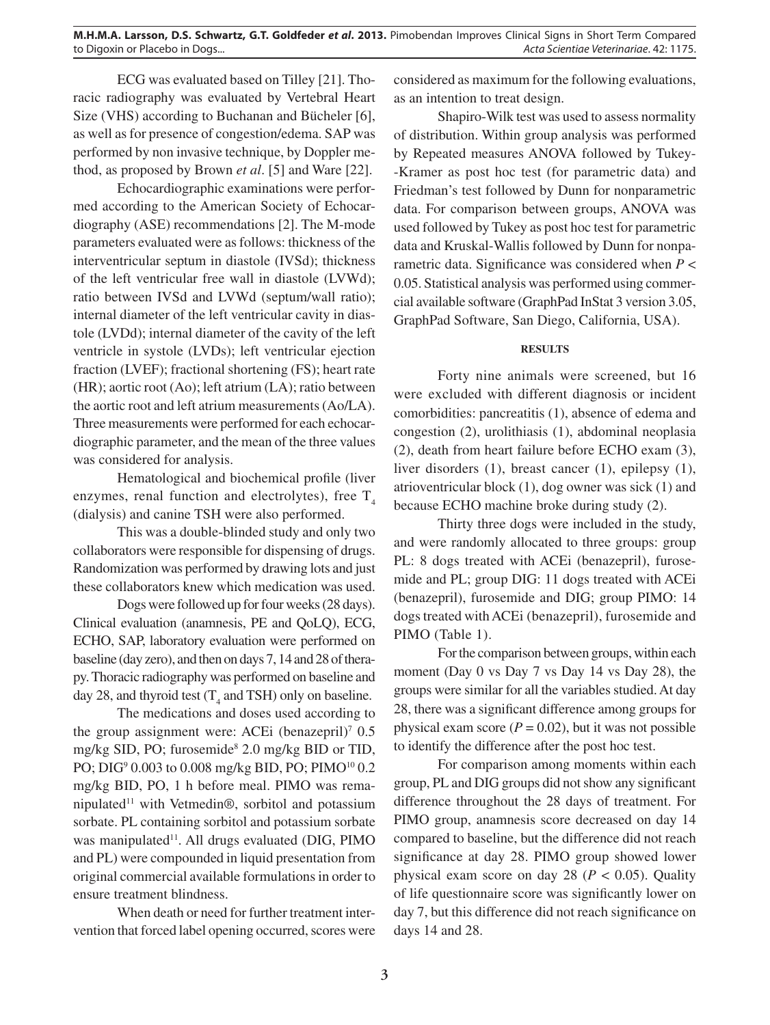ECG was evaluated based on Tilley [21]. Thoracic radiography was evaluated by Vertebral Heart Size (VHS) according to Buchanan and Bücheler [6], as well as for presence of congestion/edema. SAP was performed by non invasive technique, by Doppler method, as proposed by Brown *et al*. [5] and Ware [22].

Echocardiographic examinations were performed according to the American Society of Echocardiography (ASE) recommendations [2]. The M-mode parameters evaluated were as follows: thickness of the interventricular septum in diastole (IVSd); thickness of the left ventricular free wall in diastole (LVWd); ratio between IVSd and LVWd (septum/wall ratio); internal diameter of the left ventricular cavity in diastole (LVDd); internal diameter of the cavity of the left ventricle in systole (LVDs); left ventricular ejection fraction (LVEF); fractional shortening (FS); heart rate (HR); aortic root (Ao); left atrium (LA); ratio between the aortic root and left atrium measurements (Ao/LA). Three measurements were performed for each echocardiographic parameter, and the mean of the three values was considered for analysis.

Hematological and biochemical profile (liver enzymes, renal function and electrolytes), free  $T<sub>4</sub>$ (dialysis) and canine TSH were also performed.

This was a double-blinded study and only two collaborators were responsible for dispensing of drugs. Randomization was performed by drawing lots and just these collaborators knew which medication was used.

Dogs were followed up for four weeks (28 days). Clinical evaluation (anamnesis, PE and QoLQ), ECG, ECHO, SAP, laboratory evaluation were performed on baseline (day zero), and then on days 7, 14 and 28 of therapy. Thoracic radiography was performed on baseline and day 28, and thyroid test  $(T_4$  and TSH) only on baseline.

The medications and doses used according to the group assignment were: ACEi (benazepril)<sup>7</sup> 0.5 mg/kg SID, PO; furosemide<sup>8</sup> 2.0 mg/kg BID or TID, PO; DIG<sup>9</sup> 0.003 to 0.008 mg/kg BID, PO; PIMO<sup>10</sup> 0.2 mg/kg BID, PO, 1 h before meal. PIMO was remanipulated<sup>11</sup> with Vetmedin®, sorbitol and potassium sorbate. PL containing sorbitol and potassium sorbate was manipulated<sup>11</sup>. All drugs evaluated (DIG, PIMO and PL) were compounded in liquid presentation from original commercial available formulations in order to ensure treatment blindness.

When death or need for further treatment intervention that forced label opening occurred, scores were considered as maximum for the following evaluations, as an intention to treat design.

Shapiro-Wilk test was used to assess normality of distribution. Within group analysis was performed by Repeated measures ANOVA followed by Tukey- -Kramer as post hoc test (for parametric data) and Friedman's test followed by Dunn for nonparametric data. For comparison between groups, ANOVA was used followed by Tukey as post hoc test for parametric data and Kruskal-Wallis followed by Dunn for nonparametric data. Significance was considered when  $P \leq$ 0.05. Statistical analysis was performed using commercial available software (GraphPad InStat 3 version 3.05, GraphPad Software, San Diego, California, USA).

# **RESULTS**

Forty nine animals were screened, but 16 were excluded with different diagnosis or incident comorbidities: pancreatitis (1), absence of edema and congestion (2), urolithiasis (1), abdominal neoplasia (2), death from heart failure before ECHO exam (3), liver disorders (1), breast cancer (1), epilepsy (1), atrioventricular block (1), dog owner was sick (1) and because ECHO machine broke during study (2).

Thirty three dogs were included in the study, and were randomly allocated to three groups: group PL: 8 dogs treated with ACEi (benazepril), furosemide and PL; group DIG: 11 dogs treated with ACEi (benazepril), furosemide and DIG; group PIMO: 14 dogs treated with ACEi (benazepril), furosemide and PIMO (Table 1).

For the comparison between groups, within each moment (Day 0 vs Day 7 vs Day 14 vs Day 28), the groups were similar for all the variables studied. At day 28, there was a significant difference among groups for physical exam score  $(P = 0.02)$ , but it was not possible to identify the difference after the post hoc test.

For comparison among moments within each group, PL and DIG groups did not show any significant difference throughout the 28 days of treatment. For PIMO group, anamnesis score decreased on day 14 compared to baseline, but the difference did not reach significance at day 28. PIMO group showed lower physical exam score on day 28 ( $P < 0.05$ ). Quality of life questionnaire score was significantly lower on day 7, but this difference did not reach significance on days 14 and 28.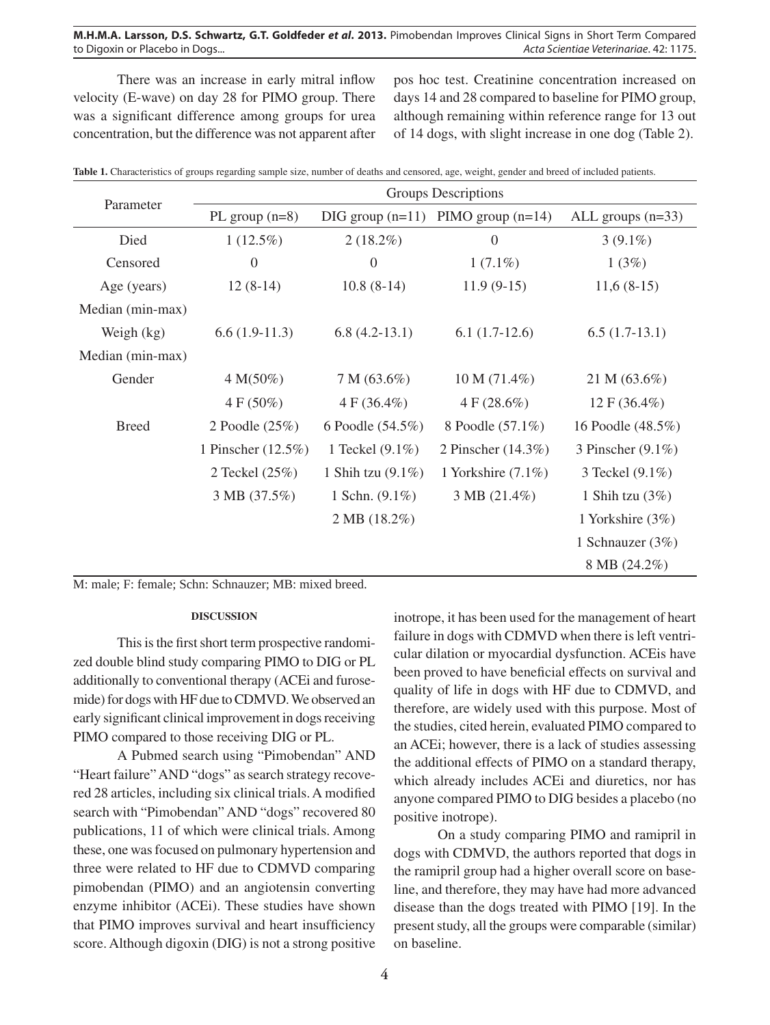# **M.H.M.A. Larsson, D.S. Schwartz, G.T. Goldfeder** *et al***. 2013.** Pimobendan Improves Clinical Signs in Short Term Compared to Digoxin or Placebo in Dogs... **Acta Scientiae Veterinariae. 42: 1175.** Acta Scientiae Veterinariae. 42: 1175.

There was an increase in early mitral inflow velocity (E-wave) on day 28 for PIMO group. There was a significant difference among groups for urea concentration, but the difference was not apparent after

pos hoc test. Creatinine concentration increased on days 14 and 28 compared to baseline for PIMO group, although remaining within reference range for 13 out of 14 dogs, with slight increase in one dog (Table 2).

|                  | Groups Descriptions |                           |                       |                     |  |  |  |
|------------------|---------------------|---------------------------|-----------------------|---------------------|--|--|--|
| Parameter        | PL group $(n=8)$    | $\text{DIG}$ group (n=11) | PIMO group $(n=14)$   | ALL groups $(n=33)$ |  |  |  |
| Died             | $1(12.5\%)$         | $2(18.2\%)$               | $\boldsymbol{0}$      | $3(9.1\%)$          |  |  |  |
| Censored         | $\overline{0}$      | $\theta$                  | $1(7.1\%)$            | 1(3%)               |  |  |  |
| Age (years)      | $12(8-14)$          | $10.8(8-14)$              | $11.9(9-15)$          | $11,6(8-15)$        |  |  |  |
| Median (min-max) |                     |                           |                       |                     |  |  |  |
| Weigh $(kg)$     | $6.6(1.9-11.3)$     | $6.8(4.2-13.1)$           | $6.1(1.7-12.6)$       | $6.5(1.7-13.1)$     |  |  |  |
| Median (min-max) |                     |                           |                       |                     |  |  |  |
| Gender           | $4 M(50\%)$         | $7 M (63.6\%)$            | $10 M (71.4\%)$       | 21 M $(63.6\%)$     |  |  |  |
|                  | $4 F (50\%)$        | $4 F (36.4\%)$            | $4 F (28.6\%)$        | $12 F (36.4\%)$     |  |  |  |
| <b>Breed</b>     | 2 Poodle (25%)      | 6 Poodle (54.5%)          | 8 Poodle (57.1%)      | 16 Poodle (48.5%)   |  |  |  |
|                  | 1 Pinscher (12.5%)  | 1 Teckel $(9.1\%)$        | 2 Pinscher (14.3%)    | 3 Pinscher (9.1%)   |  |  |  |
|                  | 2 Teckel (25%)      | 1 Shih tzu $(9.1\%)$      | 1 Yorkshire $(7.1\%)$ | 3 Teckel (9.1%)     |  |  |  |
|                  | 3 MB (37.5%)        | 1 Schn. $(9.1\%)$         | 3 MB (21.4%)          | 1 Shih tzu $(3%)$   |  |  |  |
|                  |                     | 2 MB (18.2%)              |                       | 1 Yorkshire (3%)    |  |  |  |
|                  |                     |                           |                       | 1 Schnauzer $(3\%)$ |  |  |  |
|                  |                     |                           |                       | 8 MB (24.2%)        |  |  |  |

Table 1. Characteristics of groups regarding sample size, number of deaths and censored, age, weight, gender and breed of included patients.

M: male; F: female; Schn: Schnauzer; MB: mixed breed.

#### **DISCUSSION**

This is the first short term prospective randomized double blind study comparing PIMO to DIG or PL additionally to conventional therapy (ACEi and furosemide) for dogs with HF due to CDMVD. We observed an early significant clinical improvement in dogs receiving PIMO compared to those receiving DIG or PL.

A Pubmed search using "Pimobendan" AND "Heart failure" AND "dogs" as search strategy recovered 28 articles, including six clinical trials. A modified search with "Pimobendan" AND "dogs" recovered 80 publications, 11 of which were clinical trials. Among these, one was focused on pulmonary hypertension and three were related to HF due to CDMVD comparing pimobendan (PIMO) and an angiotensin converting enzyme inhibitor (ACEi). These studies have shown that PIMO improves survival and heart insufficiency score. Although digoxin (DIG) is not a strong positive inotrope, it has been used for the management of heart failure in dogs with CDMVD when there is left ventricular dilation or myocardial dysfunction. ACEis have been proved to have beneficial effects on survival and quality of life in dogs with HF due to CDMVD, and therefore, are widely used with this purpose. Most of the studies, cited herein, evaluated PIMO compared to an ACEi; however, there is a lack of studies assessing the additional effects of PIMO on a standard therapy, which already includes ACEi and diuretics, nor has anyone compared PIMO to DIG besides a placebo (no positive inotrope).

On a study comparing PIMO and ramipril in dogs with CDMVD, the authors reported that dogs in the ramipril group had a higher overall score on baseline, and therefore, they may have had more advanced disease than the dogs treated with PIMO [19]. In the present study, all the groups were comparable (similar) on baseline.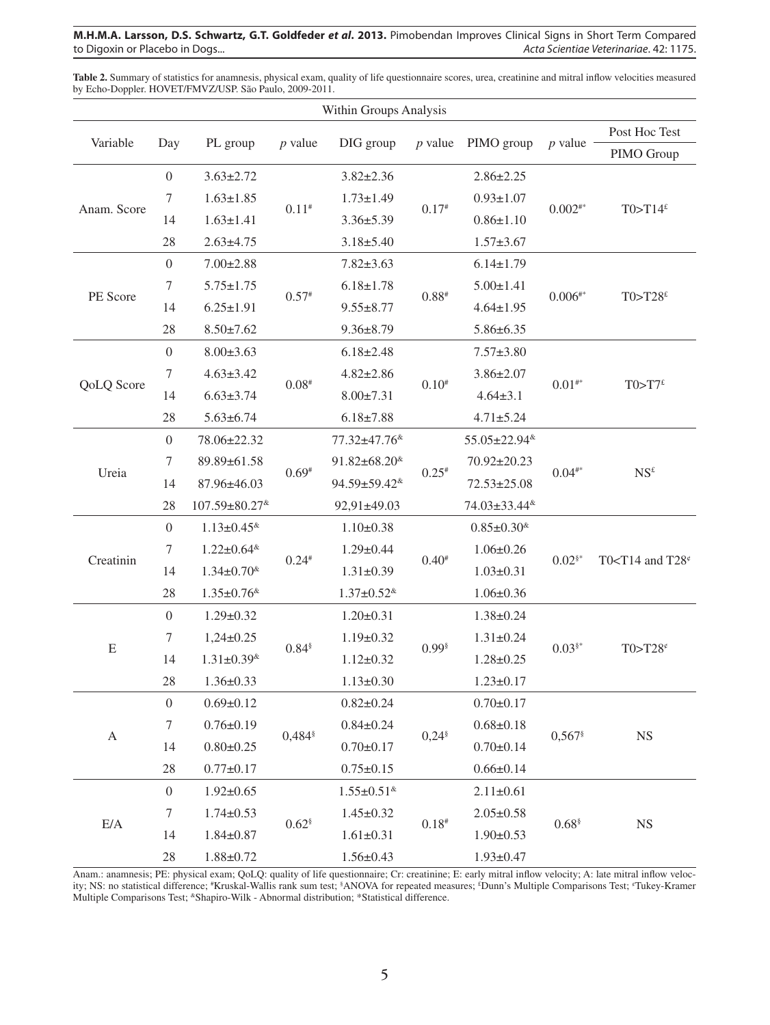**M.H.M.A. Larsson, D.S. Schwartz, G.T. Goldfeder** *et al***. 2013.** Pimobendan Improves Clinical Signs in Short Term Compared to Digoxin or Placebo in Dogs... **Acta Scientiae Veterinariae. 42: 1175.** Acta Scientiae Veterinariae. 42: 1175.

Table 2. Summary of statistics for anamnesis, physical exam, quality of life questionnaire scores, urea, creatinine and mitral inflow velocities measured by Echo-Doppler. HOVET/FMVZ/USP. São Paulo, 2009-2011.

| Within Groups Analysis |                  |                                  |                     |                                    |                     |                                  |                                |                                    |  |  |  |
|------------------------|------------------|----------------------------------|---------------------|------------------------------------|---------------------|----------------------------------|--------------------------------|------------------------------------|--|--|--|
| Variable               | Day              | PL group                         | $p$ value           | DIG group                          | $p$ value           | PIMO group                       | $p$ value                      | Post Hoc Test                      |  |  |  |
|                        |                  |                                  |                     |                                    |                     |                                  |                                | PIMO Group                         |  |  |  |
| Anam. Score            | $\mathbf{0}$     | $3.63 \pm 2.72$                  | $0.11^{*}$          | $3.82 \pm 2.36$                    | $0.17*$             | $2.86 \pm 2.25$                  | $0.002^{**}$                   | $T0 > T14$ £                       |  |  |  |
|                        | $\tau$           | $1.63 \pm 1.85$                  |                     | $1.73 \pm 1.49$                    |                     | $0.93 \pm 1.07$                  |                                |                                    |  |  |  |
|                        | 14               | $1.63 \pm 1.41$                  |                     | $3.36 \pm 5.39$                    |                     | $0.86 \pm 1.10$                  |                                |                                    |  |  |  |
|                        | 28               | $2.63 \pm 4.75$                  |                     | $3.18 \pm 5.40$                    |                     | $1.57 \pm 3.67$                  |                                |                                    |  |  |  |
| PE Score               | $\boldsymbol{0}$ | $7.00 \pm 2.88$                  | $0.57*$             | $7.82 \pm 3.63$                    |                     | $6.14 \pm 1.79$                  | $0.006^{\text{\tiny\it{iii}}}$ | T0>T28 $\mathrm{f}$                |  |  |  |
|                        | 7                | $5.75 \pm 1.75$                  |                     | $6.18 \pm 1.78$                    |                     | $5.00 \pm 1.41$                  |                                |                                    |  |  |  |
|                        | 14               | $6.25 \pm 1.91$                  |                     | $9.55 \pm 8.77$                    | $0.88*$             | $4.64 \pm 1.95$                  |                                |                                    |  |  |  |
|                        | 28               | $8.50 \pm 7.62$                  |                     | $9.36 \pm 8.79$                    |                     | $5.86 \pm 6.35$                  |                                |                                    |  |  |  |
| QoLQ Score             | $\mathbf{0}$     | $8.00 \pm 3.63$                  |                     | $6.18 \pm 2.48$                    |                     | $7.57 \pm 3.80$                  | $0.01^{**}$                    | T0>T7 <sup>£</sup>                 |  |  |  |
|                        | $\tau$           | $4.63 \pm 3.42$                  | $0.08*$             | $4.82 \pm 2.86$                    | $0.10^{#}$          | $3.86 \pm 2.07$                  |                                |                                    |  |  |  |
|                        | 14               | $6.63 \pm 3.74$                  |                     | $8.00 \pm 7.31$                    |                     | $4.64 \pm 3.1$                   |                                |                                    |  |  |  |
|                        | 28               | $5.63 \pm 6.74$                  |                     | $6.18 \pm 7.88$                    |                     | $4.71 \pm 5.24$                  |                                |                                    |  |  |  |
| Ureia                  | $\boldsymbol{0}$ | 78.06±22.32                      |                     | 77.32±47.76 <sup>&amp;</sup>       |                     | 55.05±22.94 <sup>&amp;</sup>     | $0.04^{**}$                    | NS <sup>f</sup>                    |  |  |  |
|                        | $\tau$           | 89.89±61.58                      | $0.69*$             | $91.82 \pm 68.20$ <sup>&amp;</sup> |                     | 70.92±20.23                      |                                |                                    |  |  |  |
|                        | 14               | 87.96±46.03                      |                     | 94.59±59.42 <sup>&amp;</sup>       | $0.25*$             | $72.53 \pm 25.08$                |                                |                                    |  |  |  |
|                        | 28               | 107.59±80.27*                    |                     | 92,91±49.03                        |                     | 74.03±33.44 <sup>&amp;</sup>     |                                |                                    |  |  |  |
| Creatinin              | $\boldsymbol{0}$ | $1.13 \pm 0.45$ <sup>&amp;</sup> | $0.24*$             | $1.10 \pm 0.38$                    |                     | $0.85 \pm 0.30$ <sup>&amp;</sup> | $0.02$ <sup>§*</sup>           | T0 <t14 and="" t28<math="">e</t14> |  |  |  |
|                        | 7                | $1.22 \pm 0.64$ <sup>&amp;</sup> |                     | $1.29 \pm 0.44$                    | $0.40*$             | $1.06 \pm 0.26$                  |                                |                                    |  |  |  |
|                        | 14               | $1.34 \pm 0.70$ <sup>&amp;</sup> |                     | $1.31 \pm 0.39$                    |                     | $1.03 \pm 0.31$                  |                                |                                    |  |  |  |
|                        | 28               | $1.35 \pm 0.76$ <sup>&amp;</sup> |                     | $1.37 \pm 0.52$ <sup>&amp;</sup>   |                     | $1.06 \pm 0.36$                  |                                |                                    |  |  |  |
| E                      | $\mathbf{0}$     | $1.29 \pm 0.32$                  | $0.84$ <sup>§</sup> | $1.20 \pm 0.31$                    |                     | $1.38 \pm 0.24$                  | $0.03$ <sup>§*</sup>           | T0>T28 $e$                         |  |  |  |
|                        | $\tau$           | $1,24\pm0.25$                    |                     | $1.19 \pm 0.32$                    | $0.99$ <sup>§</sup> | $1.31 \pm 0.24$                  |                                |                                    |  |  |  |
|                        | 14               | $1.31 \pm 0.39$ <sup>&amp;</sup> |                     | $1.12 \pm 0.32$                    |                     | $1.28 \pm 0.25$                  |                                |                                    |  |  |  |
|                        | $28\,$           | $1.36 \pm 0.33$                  |                     | $1.13 \pm 0.30$                    |                     | $1.23 \pm 0.17$                  |                                |                                    |  |  |  |
| A                      | $\overline{0}$   | $0.69 \pm 0.12$                  | 0,484               | $0.82 \pm 0.24$                    |                     | $0.70 \pm 0.17$                  | 0,567                          | $_{\rm NS}$                        |  |  |  |
|                        | 7                | $0.76 \pm 0.19$                  |                     | $0.84 \pm 0.24$                    |                     | $0.68 \pm 0.18$                  |                                |                                    |  |  |  |
|                        | 14               | $0.80 \pm 0.25$                  |                     | $0.70 \pm 0.17$                    | $0,24$ <sup>§</sup> | $0.70 \pm 0.14$                  |                                |                                    |  |  |  |
|                        | 28               | $0.77 \pm 0.17$                  |                     | $0.75 \pm 0.15$                    |                     | $0.66 \pm 0.14$                  |                                |                                    |  |  |  |
| E/A                    | $\boldsymbol{0}$ | $1.92 \pm 0.65$                  | $0.62$ <sup>§</sup> | $1.55 \pm 0.51$ <sup>&amp;</sup>   |                     | $2.11 \pm 0.61$                  | $0.68$ <sup>§</sup>            | $_{\rm NS}$                        |  |  |  |
|                        | 7                | $1.74 \pm 0.53$                  |                     | $1.45 \pm 0.32$                    |                     | $2.05 \pm 0.58$                  |                                |                                    |  |  |  |
|                        | 14               | $1.84 \pm 0.87$                  |                     | $1.61 \pm 0.31$                    | $0.18*$             | $1.90 \pm 0.53$                  |                                |                                    |  |  |  |
|                        | $28\,$           | $1.88 \pm 0.72$                  |                     | $1.56 \pm 0.43$                    |                     | $1.93 \pm 0.47$                  |                                |                                    |  |  |  |

Anam.: anamnesis; PE: physical exam; QoLQ: quality of life questionnaire; Cr: creatinine; E: early mitral inflow velocity; A: late mitral inflow velocity; NS: no statistical difference; \*Kruskal-Wallis rank sum test; \*ANOVA for repeated measures; \*Dunn's Multiple Comparisons Test; \*Tukey-Kramer Multiple Comparisons Test; &Shapiro-Wilk - Abnormal distribution; \*Statistical difference.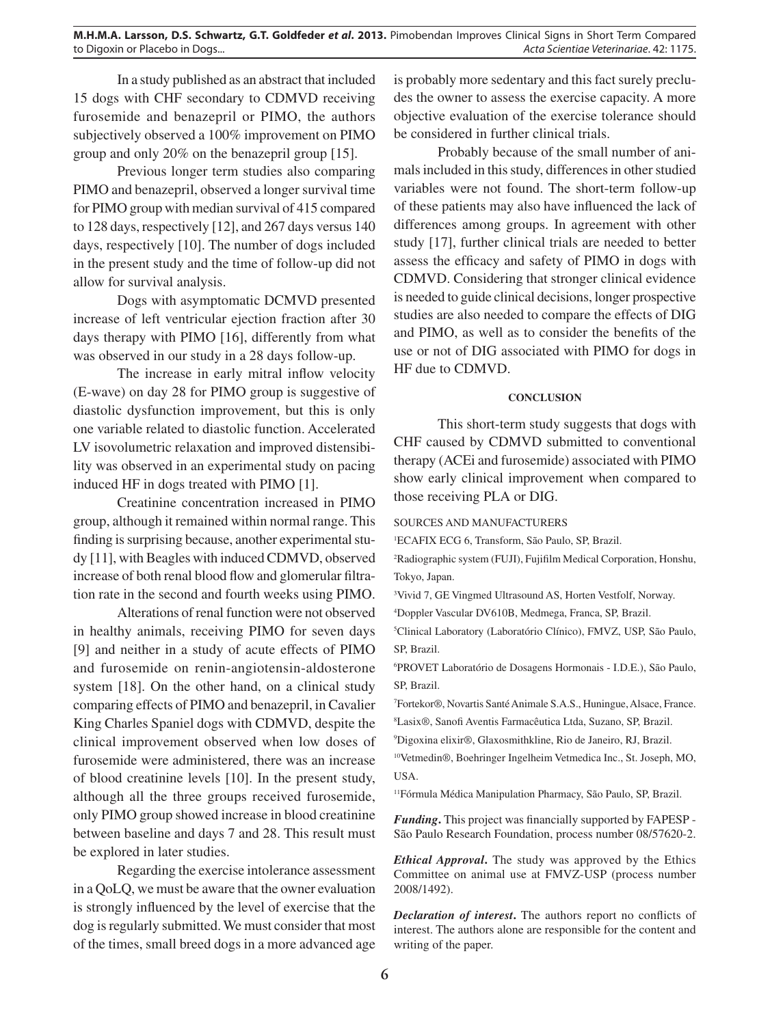In a study published as an abstract that included 15 dogs with CHF secondary to CDMVD receiving furosemide and benazepril or PIMO, the authors subjectively observed a 100% improvement on PIMO group and only 20% on the benazepril group [15].

Previous longer term studies also comparing PIMO and benazepril, observed a longer survival time for PIMO group with median survival of 415 compared to 128 days, respectively [12], and 267 days versus 140 days, respectively [10]. The number of dogs included in the present study and the time of follow-up did not allow for survival analysis.

Dogs with asymptomatic DCMVD presented increase of left ventricular ejection fraction after 30 days therapy with PIMO [16], differently from what was observed in our study in a 28 days follow-up.

The increase in early mitral inflow velocity (E-wave) on day 28 for PIMO group is suggestive of diastolic dysfunction improvement, but this is only one variable related to diastolic function. Accelerated LV isovolumetric relaxation and improved distensibility was observed in an experimental study on pacing induced HF in dogs treated with PIMO [1].

Creatinine concentration increased in PIMO group, although it remained within normal range. This finding is surprising because, another experimental study [11], with Beagles with induced CDMVD, observed increase of both renal blood flow and glomerular filtration rate in the second and fourth weeks using PIMO.

Alterations of renal function were not observed in healthy animals, receiving PIMO for seven days [9] and neither in a study of acute effects of PIMO and furosemide on renin-angiotensin-aldosterone system [18]. On the other hand, on a clinical study comparing effects of PIMO and benazepril, in Cavalier King Charles Spaniel dogs with CDMVD, despite the clinical improvement observed when low doses of furosemide were administered, there was an increase of blood creatinine levels [10]. In the present study, although all the three groups received furosemide, only PIMO group showed increase in blood creatinine between baseline and days 7 and 28. This result must be explored in later studies.

Regarding the exercise intolerance assessment in a QoLQ, we must be aware that the owner evaluation is strongly influenced by the level of exercise that the dog is regularly submitted. We must consider that most of the times, small breed dogs in a more advanced age is probably more sedentary and this fact surely precludes the owner to assess the exercise capacity. A more objective evaluation of the exercise tolerance should be considered in further clinical trials.

Probably because of the small number of animals included in this study, differences in other studied variables were not found. The short-term follow-up of these patients may also have influenced the lack of differences among groups. In agreement with other study [17], further clinical trials are needed to better assess the efficacy and safety of PIMO in dogs with CDMVD. Considering that stronger clinical evidence is needed to guide clinical decisions, longer prospective studies are also needed to compare the effects of DIG and PIMO, as well as to consider the benefits of the use or not of DIG associated with PIMO for dogs in HF due to CDMVD.

## **CONCLUSION**

This short-term study suggests that dogs with CHF caused by CDMVD submitted to conventional therapy (ACEi and furosemide) associated with PIMO show early clinical improvement when compared to those receiving PLA or DIG.

#### SOURCES AND MANUFACTURERS

1 ECAFIX ECG 6, Transform, São Paulo, SP, Brazil.

<sup>2</sup>Radiographic system (FUJI), Fujifilm Medical Corporation, Honshu, Tokyo, Japan.

3 Vivid 7, GE Vingmed Ultrasound AS, Horten Vestfolf, Norway.

4 Doppler Vascular DV610B, Medmega, Franca, SP, Brazil.

5 Clinical Laboratory (Laboratório Clínico), FMVZ, USP, São Paulo, SP, Brazil.

6 PROVET Laboratório de Dosagens Hormonais - I.D.E.), São Paulo, SP, Brazil.

7 Fortekor®, Novartis Santé Animale S.A.S., Huningue, Alsace, France.

8 Lasix®, Sanofi Aventis Farmacêutica Ltda, Suzano, SP, Brazil.

9 Digoxina elixir®, Glaxosmithkline, Rio de Janeiro, RJ, Brazil.

10Vetmedin®, Boehringer Ingelheim Vetmedica Inc., St. Joseph, MO, USA.

11Fórmula Médica Manipulation Pharmacy, São Paulo, SP, Brazil.

*Funding*. This project was financially supported by FAPESP -São Paulo Research Foundation, process number 08/57620-2.

*Ethical Approval***.** The study was approved by the Ethics Committee on animal use at FMVZ-USP (process number 2008/1492).

**Declaration of interest.** The authors report no conflicts of interest. The authors alone are responsible for the content and writing of the paper.